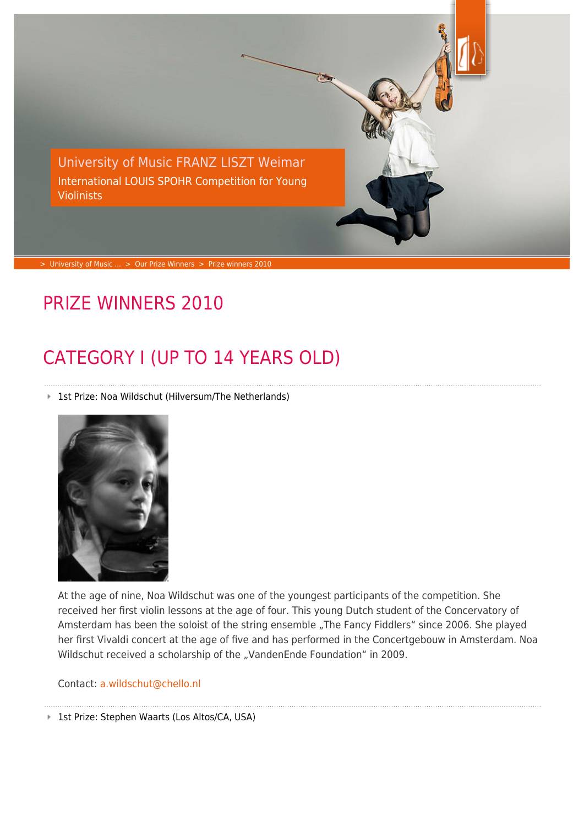

> [University of Music ...](https://www.hfm-weimar.de/start/?L=1) > [Our Prize Winners](https://www.hfm-weimar.de/international-louis-spohr-competition-for-young-violinists/our-prize-winners/prize-winners-2019/?L=1) > [Prize winners 2010](https://www.hfm-weimar.de/international-louis-spohr-competition-for-young-violinists/our-prize-winners/prize-winners-2010/?L=1)

### PRIZE WINNERS 2010

# CATEGORY I (UP TO 14 YEARS OLD)

■ 1st Prize: Noa Wildschut (Hilversum/The Netherlands)



At the age of nine, Noa Wildschut was one of the youngest participants of the competition. She received her first violin lessons at the age of four. This young Dutch student of the Concervatory of Amsterdam has been the soloist of the string ensemble "The Fancy Fiddlers" since 2006. She played her first Vivaldi concert at the age of five and has performed in the Concertgebouw in Amsterdam. Noa Wildschut received a scholarship of the "VandenEnde Foundation" in 2009.

Contact: [a.wildschut@chello.nl](https://www.hfm-weimar.de/javascript:linkTo_UnCryptMailto()

■ 1st Prize: Stephen Waarts (Los Altos/CA, USA)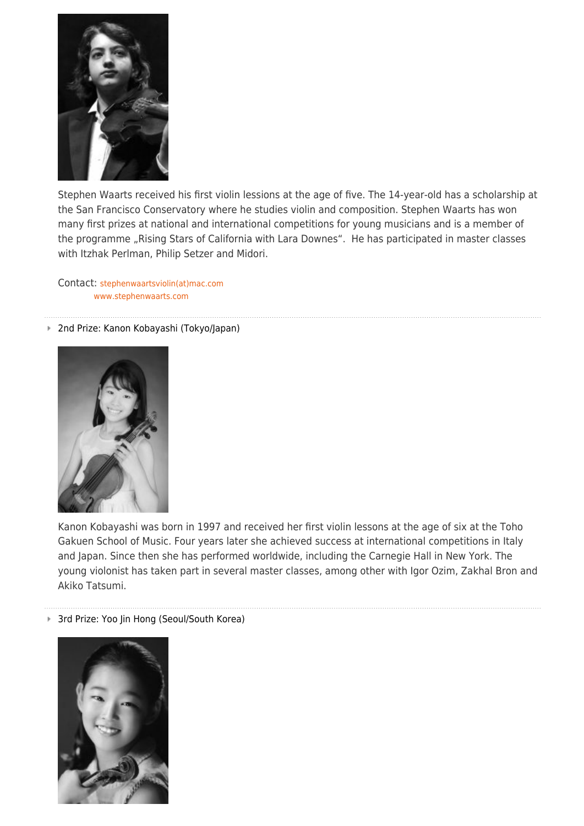

Stephen Waarts received his first violin lessions at the age of five. The 14-year-old has a scholarship at the San Francisco Conservatory where he studies violin and composition. Stephen Waarts has won many first prizes at national and international competitions for young musicians and is a member of the programme "Rising Stars of California with Lara Downes". He has participated in master classes with Itzhak Perlman, Philip Setzer and Midori.

Contact: [stephenwaartsviolin\(at\)mac.com](https://www.hfm-weimar.de/javascript:linkTo_UnCryptMailto() [www.stephenwaarts.com](http://www.stephenwaarts.com/)

#### ■ 2nd Prize: Kanon Kobayashi (Tokyo/Japan)



Kanon Kobayashi was born in 1997 and received her first violin lessons at the age of six at the Toho Gakuen School of Music. Four years later she achieved success at international competitions in Italy and Japan. Since then she has performed worldwide, including the Carnegie Hall in New York. The young violonist has taken part in several master classes, among other with Igor Ozim, Zakhal Bron and Akiko Tatsumi.

#### ■ 3rd Prize: Yoo Jin Hong (Seoul/South Korea)

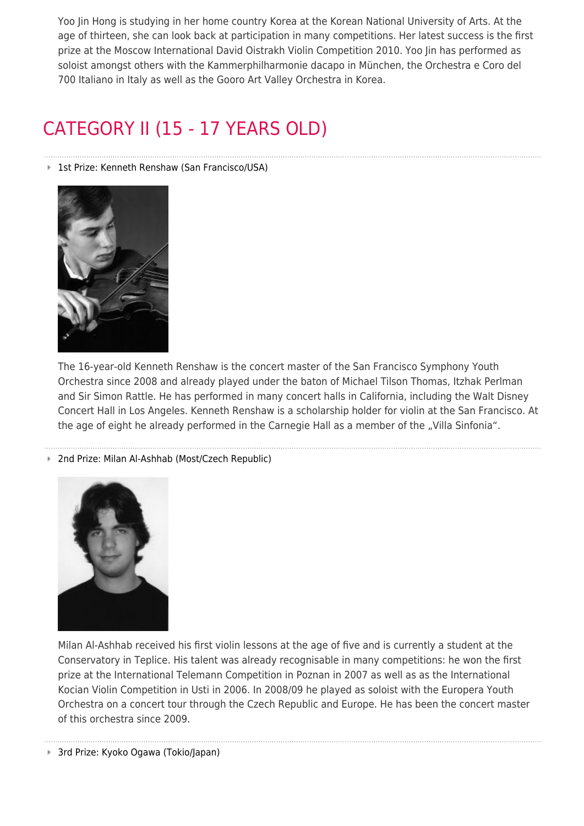Yoo Jin Hong is studying in her home country Korea at the Korean National University of Arts. At the age of thirteen, she can look back at participation in many competitions. Her latest success is the first prize at the Moscow International David Oistrakh Violin Competition 2010. Yoo Jin has performed as soloist amongst others with the Kammerphilharmonie dacapo in München, the Orchestra e Coro del 700 Italiano in Italy as well as the Gooro Art Valley Orchestra in Korea.

### CATEGORY II (15 - 17 YEARS OLD)

#### ■ 1st Prize: Kenneth Renshaw (San Francisco/USA)



The 16-year-old Kenneth Renshaw is the concert master of the San Francisco Symphony Youth Orchestra since 2008 and already played under the baton of Michael Tilson Thomas, Itzhak Perlman and Sir Simon Rattle. He has performed in many concert halls in California, including the Walt Disney Concert Hall in Los Angeles. Kenneth Renshaw is a scholarship holder for violin at the San Francisco. At the age of eight he already performed in the Carnegie Hall as a member of the "Villa Sinfonia".

2nd Prize: Milan Al-Ashhab (Most/Czech Republic)



Milan Al-Ashhab received his first violin lessons at the age of five and is currently a student at the Conservatory in Teplice. His talent was already recognisable in many competitions: he won the first prize at the International Telemann Competition in Poznan in 2007 as well as as the International Kocian Violin Competition in Usti in 2006. In 2008/09 he played as soloist with the Europera Youth Orchestra on a concert tour through the Czech Republic and Europe. He has been the concert master of this orchestra since 2009.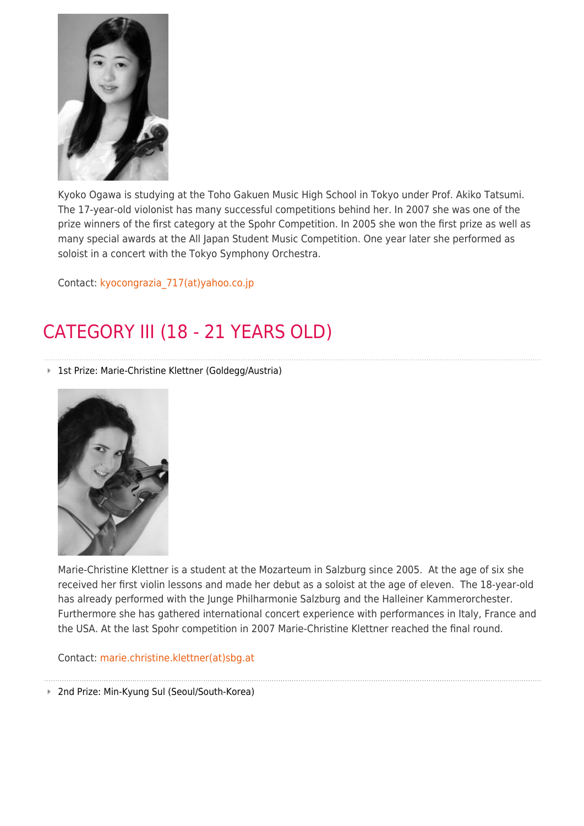

Kyoko Ogawa is studying at the Toho Gakuen Music High School in Tokyo under Prof. Akiko Tatsumi. The 17-year-old violonist has many successful competitions behind her. In 2007 she was one of the prize winners of the first category at the Spohr Competition. In 2005 she won the first prize as well as many special awards at the All Japan Student Music Competition. One year later she performed as soloist in a concert with the Tokyo Symphony Orchestra.

Contact: [kyocongrazia\\_717\(at\)yahoo.co.jp](https://www.hfm-weimar.de/javascript:linkTo_UnCryptMailto()

## CATEGORY III (18 - 21 YEARS OLD)

1st Prize: Marie-Christine Klettner (Goldegg/Austria)



Marie-Christine Klettner is a student at the Mozarteum in Salzburg since 2005. At the age of six she received her first violin lessons and made her debut as a soloist at the age of eleven. The 18-year-old has already performed with the Junge Philharmonie Salzburg and the Halleiner Kammerorchester. Furthermore she has gathered international concert experience with performances in Italy, France and the USA. At the last Spohr competition in 2007 Marie-Christine Klettner reached the final round.

Contact: [marie.christine.klettner\(at\)sbg.at](https://www.hfm-weimar.de/javascript:linkTo_UnCryptMailto()

■ 2nd Prize: Min-Kyung Sul (Seoul/South-Korea)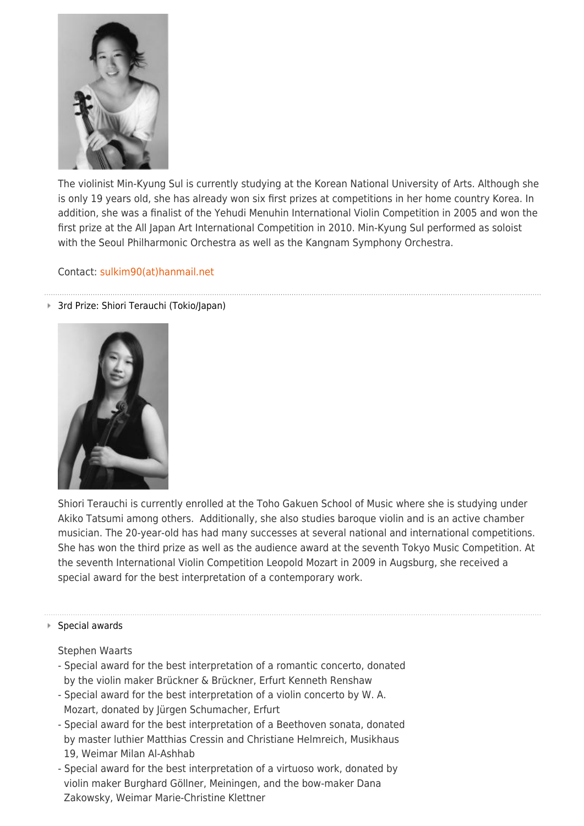

The violinist Min-Kyung Sul is currently studying at the Korean National University of Arts. Although she is only 19 years old, she has already won six first prizes at competitions in her home country Korea. In addition, she was a finalist of the Yehudi Menuhin International Violin Competition in 2005 and won the first prize at the All Japan Art International Competition in 2010. Min-Kyung Sul performed as soloist with the Seoul Philharmonic Orchestra as well as the Kangnam Symphony Orchestra.

Contact: [sulkim90\(at\)hanmail.net](https://www.hfm-weimar.de/javascript:linkTo_UnCryptMailto()

#### 3rd Prize: Shiori Terauchi (Tokio/Japan)

![](_page_4_Picture_4.jpeg)

Shiori Terauchi is currently enrolled at the Toho Gakuen School of Music where she is studying under Akiko Tatsumi among others. Additionally, she also studies baroque violin and is an active chamber musician. The 20-year-old has had many successes at several national and international competitions. She has won the third prize as well as the audience award at the seventh Tokyo Music Competition. At the seventh International Violin Competition Leopold Mozart in 2009 in Augsburg, she received a special award for the best interpretation of a contemporary work.

#### ■ Special awards

### Stephen Waarts

- Special award for the best interpretation of a romantic concerto, donated by the violin maker Brückner & Brückner, Erfurt Kenneth Renshaw
- Special award for the best interpretation of a violin concerto by W. A. Mozart, donated by Jürgen Schumacher, Erfurt
- Special award for the best interpretation of a Beethoven sonata, donated by master luthier Matthias Cressin and Christiane Helmreich, Musikhaus 19, Weimar Milan Al-Ashhab
- Special award for the best interpretation of a virtuoso work, donated by violin maker Burghard Göllner, Meiningen, and the bow-maker Dana Zakowsky, Weimar Marie-Christine Klettner